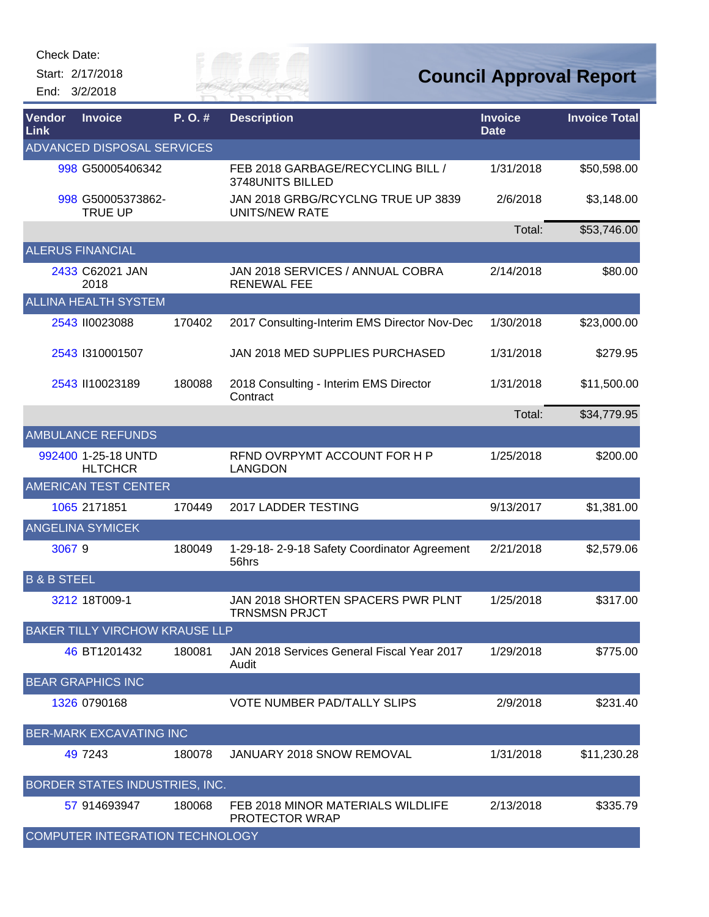Start: 2/17/2018 End: 3/2/2018



| <b>Vendor</b><br>Link  | <b>Invoice</b>                        | P.O.#  | <b>Description</b>                                          | <b>Invoice</b><br><b>Date</b> | <b>Invoice Total</b> |
|------------------------|---------------------------------------|--------|-------------------------------------------------------------|-------------------------------|----------------------|
|                        | <b>ADVANCED DISPOSAL SERVICES</b>     |        |                                                             |                               |                      |
|                        | 998 G50005406342                      |        | FEB 2018 GARBAGE/RECYCLING BILL /<br>3748UNITS BILLED       | 1/31/2018                     | \$50,598.00          |
|                        | 998 G50005373862-<br><b>TRUE UP</b>   |        | JAN 2018 GRBG/RCYCLNG TRUE UP 3839<br><b>UNITS/NEW RATE</b> | 2/6/2018                      | \$3,148.00           |
|                        |                                       |        |                                                             | Total:                        | \$53,746.00          |
|                        | <b>ALERUS FINANCIAL</b>               |        |                                                             |                               |                      |
|                        | 2433 C62021 JAN<br>2018               |        | JAN 2018 SERVICES / ANNUAL COBRA<br><b>RENEWAL FEE</b>      | 2/14/2018                     | \$80.00              |
|                        | <b>ALLINA HEALTH SYSTEM</b>           |        |                                                             |                               |                      |
|                        | 2543 II0023088                        | 170402 | 2017 Consulting-Interim EMS Director Nov-Dec                | 1/30/2018                     | \$23,000.00          |
|                        | 2543 1310001507                       |        | JAN 2018 MED SUPPLIES PURCHASED                             | 1/31/2018                     | \$279.95             |
|                        | 2543 II10023189                       | 180088 | 2018 Consulting - Interim EMS Director<br>Contract          | 1/31/2018                     | \$11,500.00          |
|                        |                                       |        |                                                             | Total:                        | \$34,779.95          |
|                        | <b>AMBULANCE REFUNDS</b>              |        |                                                             |                               |                      |
|                        | 992400 1-25-18 UNTD<br><b>HLTCHCR</b> |        | RFND OVRPYMT ACCOUNT FOR H P<br><b>LANGDON</b>              | 1/25/2018                     | \$200.00             |
|                        | <b>AMERICAN TEST CENTER</b>           |        |                                                             |                               |                      |
|                        | 1065 2171851                          | 170449 | 2017 LADDER TESTING                                         | 9/13/2017                     | \$1,381.00           |
|                        | <b>ANGELINA SYMICEK</b>               |        |                                                             |                               |                      |
| 30679                  |                                       | 180049 | 1-29-18-2-9-18 Safety Coordinator Agreement<br>56hrs        | 2/21/2018                     | \$2,579.06           |
| <b>B &amp; B STEEL</b> |                                       |        |                                                             |                               |                      |
|                        | 3212 18T009-1                         |        | JAN 2018 SHORTEN SPACERS PWR PLNT<br><b>TRNSMSN PRJCT</b>   | 1/25/2018                     | \$317.00             |
|                        | <b>BAKER TILLY VIRCHOW KRAUSE LLP</b> |        |                                                             |                               |                      |
|                        | 46 BT1201432                          | 180081 | JAN 2018 Services General Fiscal Year 2017<br>Audit         | 1/29/2018                     | \$775.00             |
|                        | <b>BEAR GRAPHICS INC</b>              |        |                                                             |                               |                      |
|                        | 1326 0790168                          |        | VOTE NUMBER PAD/TALLY SLIPS                                 | 2/9/2018                      | \$231.40             |
|                        | <b>BER-MARK EXCAVATING INC</b>        |        |                                                             |                               |                      |
|                        | 49 7243                               | 180078 | JANUARY 2018 SNOW REMOVAL                                   | 1/31/2018                     | \$11,230.28          |
|                        | BORDER STATES INDUSTRIES, INC.        |        |                                                             |                               |                      |
|                        | 57 914693947                          | 180068 | FEB 2018 MINOR MATERIALS WILDLIFE<br><b>PROTECTOR WRAP</b>  | 2/13/2018                     | \$335.79             |
|                        | COMPUTER INTEGRATION TECHNOLOGY       |        |                                                             |                               |                      |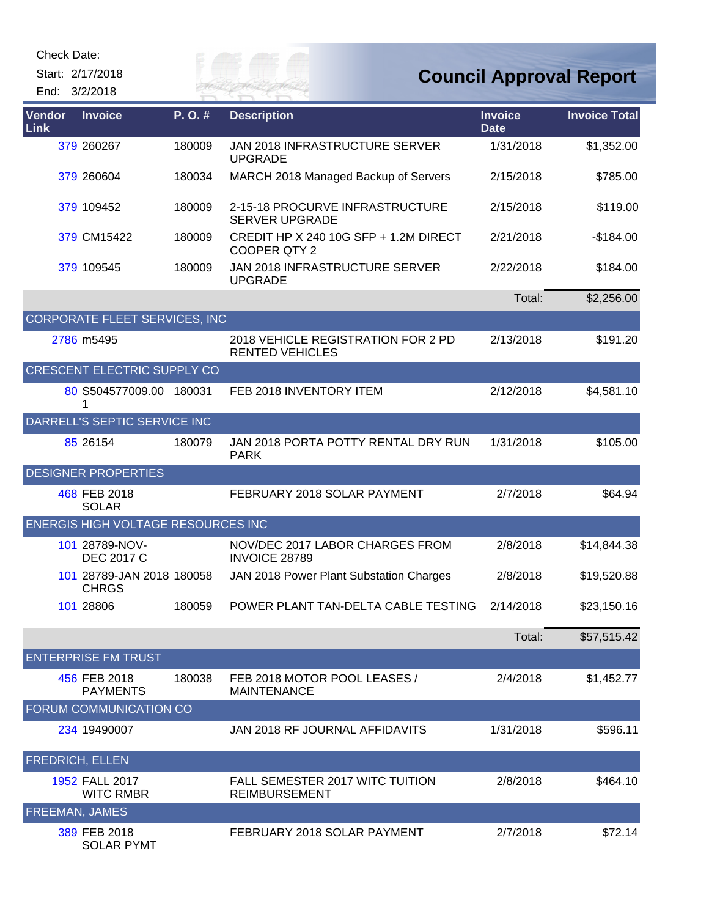Start: 2/17/2018 End: 3/2/2018

# *City of*

## **Council Approval Report**

| Vendor<br>Link         | <b>Invoice</b>                            | P.O.#  | <b>Description</b>                                             | <b>Invoice</b><br><b>Date</b> | <b>Invoice Total</b> |
|------------------------|-------------------------------------------|--------|----------------------------------------------------------------|-------------------------------|----------------------|
|                        | 379 260267                                | 180009 | JAN 2018 INFRASTRUCTURE SERVER<br><b>UPGRADE</b>               | 1/31/2018                     | \$1,352.00           |
|                        | 379 260604                                | 180034 | MARCH 2018 Managed Backup of Servers                           | 2/15/2018                     | \$785.00             |
|                        | 379 109452                                | 180009 | 2-15-18 PROCURVE INFRASTRUCTURE<br><b>SERVER UPGRADE</b>       | 2/15/2018                     | \$119.00             |
|                        | 379 CM15422                               | 180009 | CREDIT HP X 240 10G SFP + 1.2M DIRECT<br>COOPER QTY 2          | 2/21/2018                     | $-$184.00$           |
|                        | 379 109545                                | 180009 | JAN 2018 INFRASTRUCTURE SERVER<br><b>UPGRADE</b>               | 2/22/2018                     | \$184.00             |
|                        |                                           |        |                                                                | Total:                        | \$2,256.00           |
|                        | CORPORATE FLEET SERVICES, INC             |        |                                                                |                               |                      |
|                        | 2786 m5495                                |        | 2018 VEHICLE REGISTRATION FOR 2 PD<br><b>RENTED VEHICLES</b>   | 2/13/2018                     | \$191.20             |
|                        | <b>CRESCENT ELECTRIC SUPPLY CO</b>        |        |                                                                |                               |                      |
|                        | 80 S504577009.00 180031                   |        | FEB 2018 INVENTORY ITEM                                        | 2/12/2018                     | \$4,581.10           |
|                        | DARRELL'S SEPTIC SERVICE INC              |        |                                                                |                               |                      |
|                        | 85 26154                                  | 180079 | JAN 2018 PORTA POTTY RENTAL DRY RUN<br><b>PARK</b>             | 1/31/2018                     | \$105.00             |
|                        | <b>DESIGNER PROPERTIES</b>                |        |                                                                |                               |                      |
|                        | 468 FEB 2018<br><b>SOLAR</b>              |        | FEBRUARY 2018 SOLAR PAYMENT                                    | 2/7/2018                      | \$64.94              |
|                        | <b>ENERGIS HIGH VOLTAGE RESOURCES INC</b> |        |                                                                |                               |                      |
|                        | 101 28789-NOV-<br><b>DEC 2017 C</b>       |        | NOV/DEC 2017 LABOR CHARGES FROM<br><b>INVOICE 28789</b>        | 2/8/2018                      | \$14,844.38          |
|                        | 101 28789-JAN 2018 180058<br><b>CHRGS</b> |        | JAN 2018 Power Plant Substation Charges                        | 2/8/2018                      | \$19,520.88          |
|                        | 101 28806                                 | 180059 | POWER PLANT TAN-DELTA CABLE TESTING                            | 2/14/2018                     | \$23,150.16          |
|                        |                                           |        |                                                                | Total:                        | \$57,515.42          |
|                        | <b>ENTERPRISE FM TRUST</b>                |        |                                                                |                               |                      |
|                        | 456 FEB 2018<br><b>PAYMENTS</b>           | 180038 | FEB 2018 MOTOR POOL LEASES /<br><b>MAINTENANCE</b>             | 2/4/2018                      | \$1,452.77           |
|                        | <b>FORUM COMMUNICATION CO</b>             |        |                                                                |                               |                      |
|                        | 234 19490007                              |        | JAN 2018 RF JOURNAL AFFIDAVITS                                 | 1/31/2018                     | \$596.11             |
| <b>FREDRICH, ELLEN</b> |                                           |        |                                                                |                               |                      |
|                        | 1952 FALL 2017<br><b>WITC RMBR</b>        |        | <b>FALL SEMESTER 2017 WITC TUITION</b><br><b>REIMBURSEMENT</b> | 2/8/2018                      | \$464.10             |
| <b>FREEMAN, JAMES</b>  |                                           |        |                                                                |                               |                      |
|                        | 389 FEB 2018                              |        | FEBRUARY 2018 SOLAR PAYMENT                                    | 2/7/2018                      | \$72.14              |

SOLAR PYMT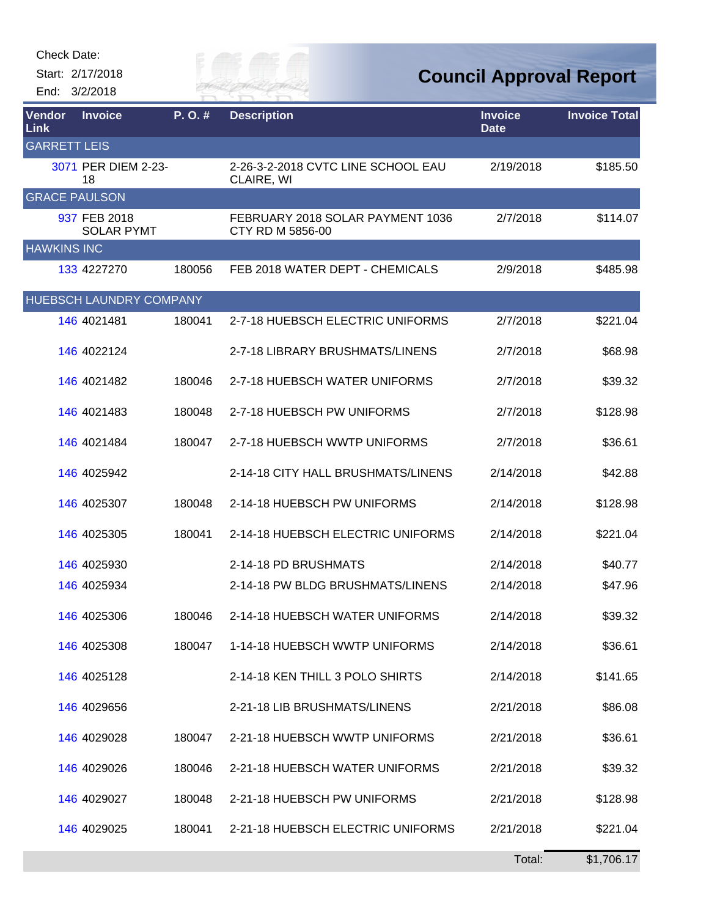| Check Date: |  |
|-------------|--|
|-------------|--|

Start: 2/17/2018 End: 3/2/2018



**Council Approval Report**

| <b>Vendor</b><br><b>Link</b> | <b>Invoice</b>                    | P.O.#  | <b>Description</b>                                   | <b>Invoice</b><br><b>Date</b> | <b>Invoice Total</b> |
|------------------------------|-----------------------------------|--------|------------------------------------------------------|-------------------------------|----------------------|
| <b>GARRETT LEIS</b>          |                                   |        |                                                      |                               |                      |
|                              | 3071 PER DIEM 2-23-<br>18         |        | 2-26-3-2-2018 CVTC LINE SCHOOL EAU<br>CLAIRE, WI     | 2/19/2018                     | \$185.50             |
| <b>GRACE PAULSON</b>         |                                   |        |                                                      |                               |                      |
|                              | 937 FEB 2018<br><b>SOLAR PYMT</b> |        | FEBRUARY 2018 SOLAR PAYMENT 1036<br>CTY RD M 5856-00 | 2/7/2018                      | \$114.07             |
| <b>HAWKINS INC</b>           |                                   |        |                                                      |                               |                      |
|                              | 133 4227270                       | 180056 | FEB 2018 WATER DEPT - CHEMICALS                      | 2/9/2018                      | \$485.98             |
|                              | HUEBSCH LAUNDRY COMPANY           |        |                                                      |                               |                      |
|                              | 146 4021481                       | 180041 | 2-7-18 HUEBSCH ELECTRIC UNIFORMS                     | 2/7/2018                      | \$221.04             |
|                              | 146 4022124                       |        | 2-7-18 LIBRARY BRUSHMATS/LINENS                      | 2/7/2018                      | \$68.98              |
|                              | 146 4021482                       | 180046 | 2-7-18 HUEBSCH WATER UNIFORMS                        | 2/7/2018                      | \$39.32              |
|                              | 146 4021483                       | 180048 | 2-7-18 HUEBSCH PW UNIFORMS                           | 2/7/2018                      | \$128.98             |
|                              | 146 4021484                       | 180047 | 2-7-18 HUEBSCH WWTP UNIFORMS                         | 2/7/2018                      | \$36.61              |
|                              | 146 4025942                       |        | 2-14-18 CITY HALL BRUSHMATS/LINENS                   | 2/14/2018                     | \$42.88              |
|                              | 146 4025307                       | 180048 | 2-14-18 HUEBSCH PW UNIFORMS                          | 2/14/2018                     | \$128.98             |
|                              | 146 4025305                       | 180041 | 2-14-18 HUEBSCH ELECTRIC UNIFORMS                    | 2/14/2018                     | \$221.04             |
|                              | 146 4025930                       |        | 2-14-18 PD BRUSHMATS                                 | 2/14/2018                     | \$40.77              |
|                              | 146 4025934                       |        | 2-14-18 PW BLDG BRUSHMATS/LINENS                     | 2/14/2018                     | \$47.96              |
|                              | 146 4025306                       | 180046 | 2-14-18 HUEBSCH WATER UNIFORMS                       | 2/14/2018                     | \$39.32              |
|                              | 146 4025308                       | 180047 | 1-14-18 HUEBSCH WWTP UNIFORMS                        | 2/14/2018                     | \$36.61              |
|                              | 146 4025128                       |        | 2-14-18 KEN THILL 3 POLO SHIRTS                      | 2/14/2018                     | \$141.65             |
|                              | 146 4029656                       |        | 2-21-18 LIB BRUSHMATS/LINENS                         | 2/21/2018                     | \$86.08              |
|                              | 146 4029028                       | 180047 | 2-21-18 HUEBSCH WWTP UNIFORMS                        | 2/21/2018                     | \$36.61              |
|                              | 146 4029026                       | 180046 | 2-21-18 HUEBSCH WATER UNIFORMS                       | 2/21/2018                     | \$39.32              |
|                              | 146 4029027                       | 180048 | 2-21-18 HUEBSCH PW UNIFORMS                          | 2/21/2018                     | \$128.98             |
|                              | 146 4029025                       | 180041 | 2-21-18 HUEBSCH ELECTRIC UNIFORMS                    | 2/21/2018                     | \$221.04             |
|                              |                                   |        |                                                      | Total:                        | \$1,706.17           |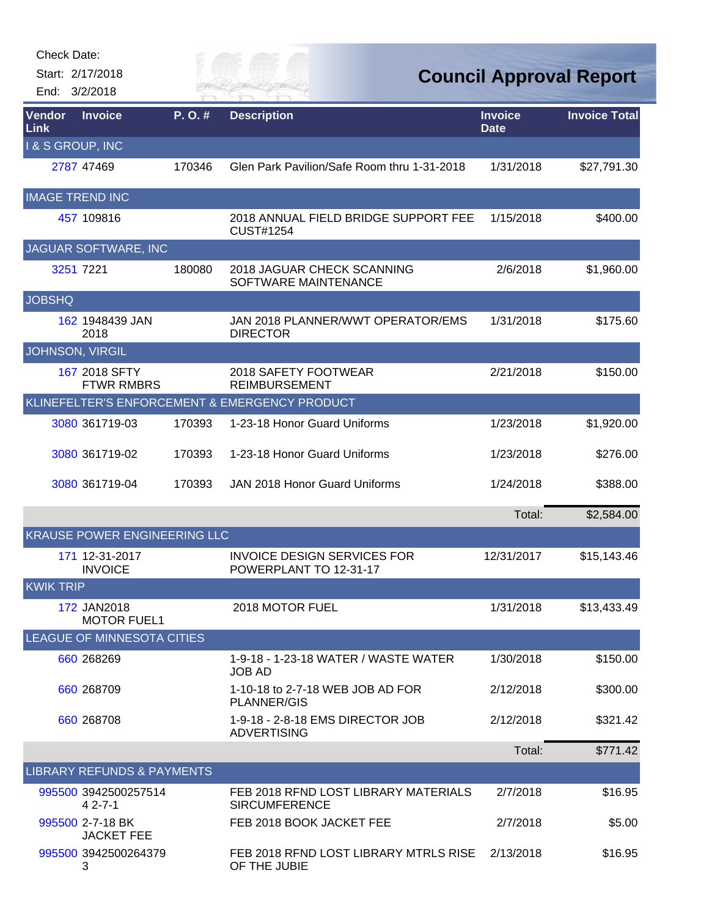| <b>Check Date:</b>         |                                       |        |                                                              |                               |                                |
|----------------------------|---------------------------------------|--------|--------------------------------------------------------------|-------------------------------|--------------------------------|
| End: 3/2/2018              | Start: 2/17/2018                      |        | FR M                                                         |                               | <b>Council Approval Report</b> |
| Vendor<br>Link             | <b>Invoice</b>                        | P.O.#  | <b>Description</b>                                           | <b>Invoice</b><br><b>Date</b> | <b>Invoice Total</b>           |
| <b>1&amp; S GROUP, INC</b> |                                       |        |                                                              |                               |                                |
|                            | 2787 47469                            | 170346 | Glen Park Pavilion/Safe Room thru 1-31-2018                  | 1/31/2018                     | \$27,791.30                    |
| <b>IMAGE TREND INC</b>     |                                       |        |                                                              |                               |                                |
|                            | 457 109816                            |        | 2018 ANNUAL FIELD BRIDGE SUPPORT FEE<br><b>CUST#1254</b>     | 1/15/2018                     | \$400.00                       |
|                            | JAGUAR SOFTWARE, INC                  |        |                                                              |                               |                                |
|                            | 3251 7221                             | 180080 | 2018 JAGUAR CHECK SCANNING<br>SOFTWARE MAINTENANCE           | 2/6/2018                      | \$1,960.00                     |
| <b>JOBSHQ</b>              |                                       |        |                                                              |                               |                                |
|                            | 162 1948439 JAN<br>2018               |        | JAN 2018 PLANNER/WWT OPERATOR/EMS<br><b>DIRECTOR</b>         | 1/31/2018                     | \$175.60                       |
| JOHNSON, VIRGIL            |                                       |        |                                                              |                               |                                |
|                            | 167 2018 SFTY<br><b>FTWR RMBRS</b>    |        | 2018 SAFETY FOOTWEAR<br><b>REIMBURSEMENT</b>                 | 2/21/2018                     | \$150.00                       |
|                            |                                       |        | KLINEFELTER'S ENFORCEMENT & EMERGENCY PRODUCT                |                               |                                |
|                            | 3080 361719-03                        | 170393 | 1-23-18 Honor Guard Uniforms                                 | 1/23/2018                     | \$1,920.00                     |
|                            | 3080 361719-02                        | 170393 | 1-23-18 Honor Guard Uniforms                                 | 1/23/2018                     | \$276.00                       |
|                            | 3080 361719-04                        | 170393 | <b>JAN 2018 Honor Guard Uniforms</b>                         | 1/24/2018                     | \$388.00                       |
|                            |                                       |        |                                                              | Total:                        | \$2,584.00                     |
|                            | <b>KRAUSE POWER ENGINEERING LLC</b>   |        |                                                              |                               |                                |
|                            | 171 12-31-2017<br><b>INVOICE</b>      |        | <b>INVOICE DESIGN SERVICES FOR</b><br>POWERPLANT TO 12-31-17 | 12/31/2017                    | \$15,143.46                    |
| <b>KWIK TRIP</b>           |                                       |        |                                                              |                               |                                |
|                            | 172 JAN2018<br><b>MOTOR FUEL1</b>     |        | 2018 MOTOR FUEL                                              | 1/31/2018                     | \$13,433.49                    |
|                            | <b>LEAGUE OF MINNESOTA CITIES</b>     |        |                                                              |                               |                                |
|                            | 660 268269                            |        | 1-9-18 - 1-23-18 WATER / WASTE WATER<br><b>JOB AD</b>        | 1/30/2018                     | \$150.00                       |
|                            | 660 268709                            |        | 1-10-18 to 2-7-18 WEB JOB AD FOR<br><b>PLANNER/GIS</b>       | 2/12/2018                     | \$300.00                       |
|                            | 660 268708                            |        | 1-9-18 - 2-8-18 EMS DIRECTOR JOB<br><b>ADVERTISING</b>       | 2/12/2018                     | \$321.42                       |
|                            |                                       |        |                                                              | Total:                        | \$771.42                       |
|                            | <b>LIBRARY REFUNDS &amp; PAYMENTS</b> |        |                                                              |                               |                                |
|                            | 995500 3942500257514<br>$42 - 7 - 1$  |        | FEB 2018 RFND LOST LIBRARY MATERIALS<br><b>SIRCUMFERENCE</b> | 2/7/2018                      | \$16.95                        |
|                            | 995500 2-7-18 BK<br><b>JACKET FEE</b> |        | FEB 2018 BOOK JACKET FEE                                     | 2/7/2018                      | \$5.00                         |
|                            | 995500 3942500264379<br>3             |        | FEB 2018 RFND LOST LIBRARY MTRLS RISE<br>OF THE JUBIE        | 2/13/2018                     | \$16.95                        |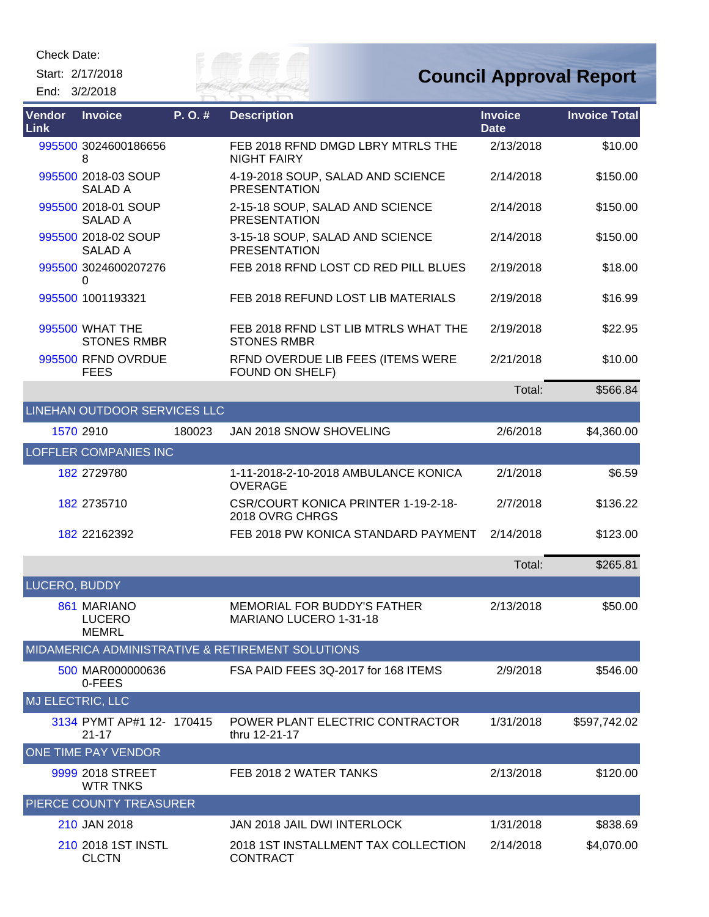Start: 2/17/2018 End: 3/2/2018

CLCTN



#### **Council Approval Report**

| <b>Vendor</b><br><b>Link</b> | <b>Invoice</b>                               | P.O.#  | <b>Description</b>                                           | <b>Invoice</b><br><b>Date</b> | <b>Invoice Total</b> |
|------------------------------|----------------------------------------------|--------|--------------------------------------------------------------|-------------------------------|----------------------|
|                              | 995500 3024600186656<br>8                    |        | FEB 2018 RFND DMGD LBRY MTRLS THE<br><b>NIGHT FAIRY</b>      | 2/13/2018                     | \$10.00              |
|                              | 995500 2018-03 SOUP<br><b>SALAD A</b>        |        | 4-19-2018 SOUP, SALAD AND SCIENCE<br><b>PRESENTATION</b>     | 2/14/2018                     | \$150.00             |
|                              | 995500 2018-01 SOUP<br>SALAD A               |        | 2-15-18 SOUP, SALAD AND SCIENCE<br><b>PRESENTATION</b>       | 2/14/2018                     | \$150.00             |
|                              | 995500 2018-02 SOUP<br><b>SALAD A</b>        |        | 3-15-18 SOUP, SALAD AND SCIENCE<br><b>PRESENTATION</b>       | 2/14/2018                     | \$150.00             |
|                              | 995500 3024600207276<br>0                    |        | FEB 2018 RFND LOST CD RED PILL BLUES                         | 2/19/2018                     | \$18.00              |
|                              | 995500 1001193321                            |        | FEB 2018 REFUND LOST LIB MATERIALS                           | 2/19/2018                     | \$16.99              |
|                              | 995500 WHAT THE<br><b>STONES RMBR</b>        |        | FEB 2018 RFND LST LIB MTRLS WHAT THE<br><b>STONES RMBR</b>   | 2/19/2018                     | \$22.95              |
|                              | 995500 RFND OVRDUE<br><b>FEES</b>            |        | RFND OVERDUE LIB FEES (ITEMS WERE<br>FOUND ON SHELF)         | 2/21/2018                     | \$10.00              |
|                              |                                              |        |                                                              | Total:                        | \$566.84             |
|                              | LINEHAN OUTDOOR SERVICES LLC                 |        |                                                              |                               |                      |
|                              | 1570 2910                                    | 180023 | JAN 2018 SNOW SHOVELING                                      | 2/6/2018                      | \$4,360.00           |
|                              | <b>LOFFLER COMPANIES INC</b>                 |        |                                                              |                               |                      |
|                              | 182 2729780                                  |        | 1-11-2018-2-10-2018 AMBULANCE KONICA<br><b>OVERAGE</b>       | 2/1/2018                      | \$6.59               |
|                              | 182 2735710                                  |        | CSR/COURT KONICA PRINTER 1-19-2-18-<br>2018 OVRG CHRGS       | 2/7/2018                      | \$136.22             |
|                              | 182 22162392                                 |        | FEB 2018 PW KONICA STANDARD PAYMENT                          | 2/14/2018                     | \$123.00             |
|                              |                                              |        |                                                              | Total:                        | \$265.81             |
| LUCERO, BUDDY                |                                              |        |                                                              |                               |                      |
|                              | 861 MARIANO<br><b>LUCERO</b><br><b>MEMRL</b> |        | <b>MEMORIAL FOR BUDDY'S FATHER</b><br>MARIANO LUCERO 1-31-18 | 2/13/2018                     | \$50.00              |
|                              |                                              |        | <b>MIDAMERICA ADMINISTRATIVE &amp; RETIREMENT SOLUTIONS</b>  |                               |                      |
|                              | 500 MAR000000636<br>0-FEES                   |        | FSA PAID FEES 3Q-2017 for 168 ITEMS                          | 2/9/2018                      | \$546.00             |
| MJ ELECTRIC, LLC             |                                              |        |                                                              |                               |                      |
|                              | 3134 PYMT AP#1 12- 170415<br>$21 - 17$       |        | POWER PLANT ELECTRIC CONTRACTOR<br>thru 12-21-17             | 1/31/2018                     | \$597,742.02         |
|                              | ONE TIME PAY VENDOR                          |        |                                                              |                               |                      |
|                              | 9999 2018 STREET<br><b>WTR TNKS</b>          |        | FEB 2018 2 WATER TANKS                                       | 2/13/2018                     | \$120.00             |
|                              | PIERCE COUNTY TREASURER                      |        |                                                              |                               |                      |
|                              | 210 JAN 2018                                 |        | JAN 2018 JAIL DWI INTERLOCK                                  | 1/31/2018                     | \$838.69             |
|                              | 210 2018 1ST INSTL                           |        | 2018 1ST INSTALLMENT TAX COLLECTION                          | 2/14/2018                     | \$4,070.00           |

CONTRACT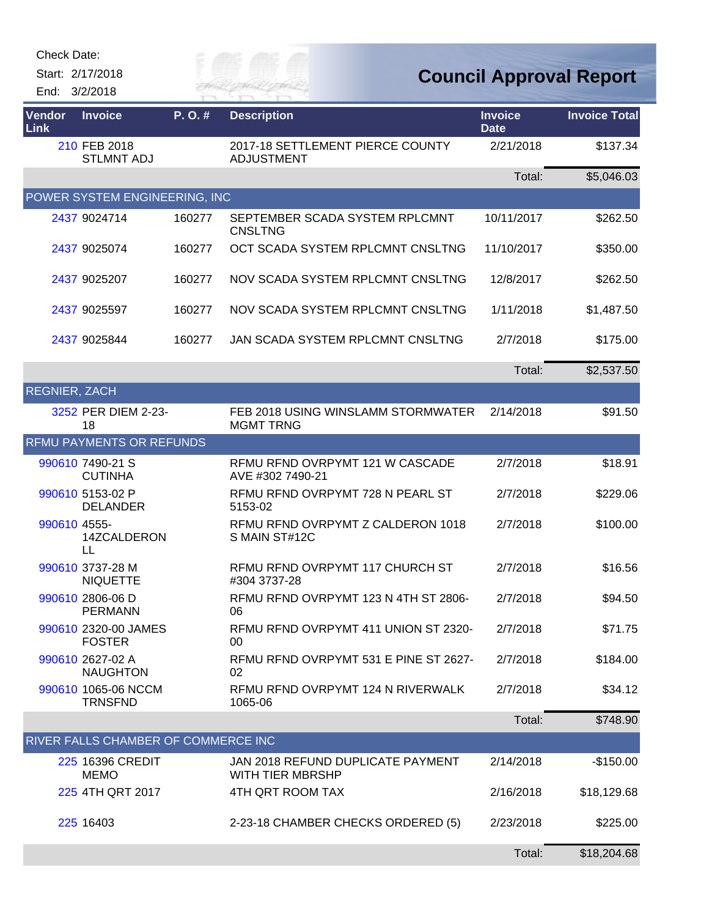| Check Date: |  |
|-------------|--|
|-------------|--|

Start: 2/17/2018 End: 3/2/2018

# RIVER FAI

## **Council Approval Report**

| Vendor<br>Link       | <b>Invoice</b>                        | P.O.#  | <b>Description</b>                                     | <b>Invoice</b><br><b>Date</b> | <b>Invoice Total</b> |
|----------------------|---------------------------------------|--------|--------------------------------------------------------|-------------------------------|----------------------|
|                      | 210 FEB 2018<br><b>STLMNT ADJ</b>     |        | 2017-18 SETTLEMENT PIERCE COUNTY<br><b>ADJUSTMENT</b>  | 2/21/2018                     | \$137.34             |
|                      |                                       |        |                                                        | Total:                        | \$5,046.03           |
|                      | POWER SYSTEM ENGINEERING, INC         |        |                                                        |                               |                      |
|                      | 2437 9024714                          | 160277 | SEPTEMBER SCADA SYSTEM RPLCMNT<br><b>CNSLTNG</b>       | 10/11/2017                    | \$262.50             |
|                      | 2437 9025074                          | 160277 | OCT SCADA SYSTEM RPLCMNT CNSLTNG                       | 11/10/2017                    | \$350.00             |
|                      | 2437 9025207                          | 160277 | NOV SCADA SYSTEM RPLCMNT CNSLTNG                       | 12/8/2017                     | \$262.50             |
|                      | 2437 9025597                          | 160277 | NOV SCADA SYSTEM RPLCMNT CNSLTNG                       | 1/11/2018                     | \$1,487.50           |
|                      | 2437 9025844                          | 160277 | JAN SCADA SYSTEM RPLCMNT CNSLTNG                       | 2/7/2018                      | \$175.00             |
|                      |                                       |        |                                                        | Total:                        | \$2,537.50           |
| <b>REGNIER, ZACH</b> |                                       |        |                                                        |                               |                      |
|                      | 3252 PER DIEM 2-23-<br>18             |        | FEB 2018 USING WINSLAMM STORMWATER<br><b>MGMT TRNG</b> | 2/14/2018                     | \$91.50              |
|                      | <b>RFMU PAYMENTS OR REFUNDS</b>       |        |                                                        |                               |                      |
|                      | 990610 7490-21 S<br><b>CUTINHA</b>    |        | RFMU RFND OVRPYMT 121 W CASCADE<br>AVE #302 7490-21    | 2/7/2018                      | \$18.91              |
|                      | 990610 5153-02 P<br><b>DELANDER</b>   |        | RFMU RFND OVRPYMT 728 N PEARL ST<br>5153-02            | 2/7/2018                      | \$229.06             |
| 990610 4555-         | 14ZCALDERON<br>LL                     |        | RFMU RFND OVRPYMT Z CALDERON 1018<br>S MAIN ST#12C     | 2/7/2018                      | \$100.00             |
|                      | 990610 3737-28 M<br><b>NIQUETTE</b>   |        | RFMU RFND OVRPYMT 117 CHURCH ST<br>#304 3737-28        | 2/7/2018                      | \$16.56              |
|                      | 990610 2806-06 D<br><b>PERMANN</b>    |        | RFMU RFND OVRPYMT 123 N 4TH ST 2806-<br>06             | 2/7/2018                      | \$94.50              |
|                      | 990610 2320-00 JAMES<br><b>FOSTER</b> |        | RFMU RFND OVRPYMT 411 UNION ST 2320-<br>00             | 2/7/2018                      | \$71.75              |
|                      | 990610 2627-02 A<br><b>NAUGHTON</b>   |        | RFMU RFND OVRPYMT 531 E PINE ST 2627-<br>02            | 2/7/2018                      | \$184.00             |
|                      | 990610 1065-06 NCCM<br><b>TRNSFND</b> |        | RFMU RFND OVRPYMT 124 N RIVERWALK<br>1065-06           | 2/7/2018                      | \$34.12              |
|                      |                                       |        |                                                        | Total:                        | \$748.90             |
|                      | RIVER FALLS CHAMBER OF COMMERCE INC   |        |                                                        |                               |                      |
|                      | 225 16396 CREDIT<br><b>MEMO</b>       |        | JAN 2018 REFUND DUPLICATE PAYMENT<br>WITH TIER MBRSHP  | 2/14/2018                     | $-$150.00$           |
|                      | 225 4TH QRT 2017                      |        | 4TH QRT ROOM TAX                                       | 2/16/2018                     | \$18,129.68          |
|                      | 225 16403                             |        | 2-23-18 CHAMBER CHECKS ORDERED (5)                     | 2/23/2018                     | \$225.00             |
|                      |                                       |        |                                                        | Total:                        | \$18,204.68          |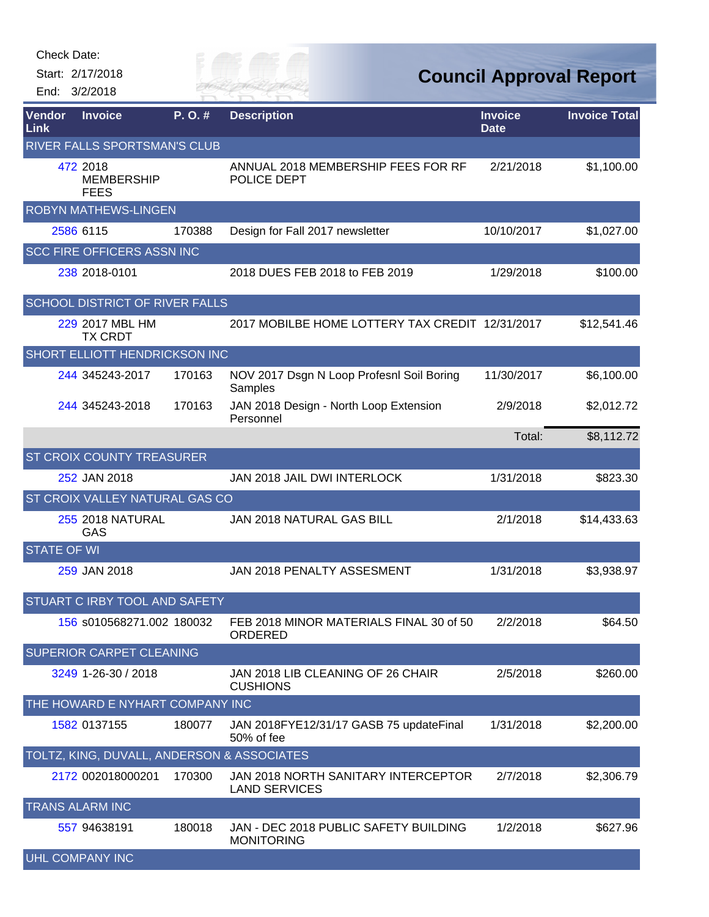Start: 2/17/2018

End: 3/2/2018



**Council Approval Report**

| Vendor<br>Link     | <b>Invoice</b>                               | P.O.#  | <b>Description</b>                                          | <b>Invoice</b><br><b>Date</b> | <b>Invoice Total</b> |
|--------------------|----------------------------------------------|--------|-------------------------------------------------------------|-------------------------------|----------------------|
|                    | RIVER FALLS SPORTSMAN'S CLUB                 |        |                                                             |                               |                      |
|                    | 472 2018<br><b>MEMBERSHIP</b><br><b>FEES</b> |        | ANNUAL 2018 MEMBERSHIP FEES FOR RF<br>POLICE DEPT           | 2/21/2018                     | \$1,100.00           |
|                    | <b>ROBYN MATHEWS-LINGEN</b>                  |        |                                                             |                               |                      |
|                    | 2586 6115                                    | 170388 | Design for Fall 2017 newsletter                             | 10/10/2017                    | \$1,027.00           |
|                    | <b>SCC FIRE OFFICERS ASSN INC</b>            |        |                                                             |                               |                      |
|                    | 238 2018-0101                                |        | 2018 DUES FEB 2018 to FEB 2019                              | 1/29/2018                     | \$100.00             |
|                    | <b>SCHOOL DISTRICT OF RIVER FALLS</b>        |        |                                                             |                               |                      |
|                    | 229 2017 MBL HM<br><b>TX CRDT</b>            |        | 2017 MOBILBE HOME LOTTERY TAX CREDIT 12/31/2017             |                               | \$12,541.46          |
|                    | <b>SHORT ELLIOTT HENDRICKSON INC</b>         |        |                                                             |                               |                      |
|                    | 244 345243-2017                              | 170163 | NOV 2017 Dsgn N Loop Profesnl Soil Boring<br>Samples        | 11/30/2017                    | \$6,100.00           |
|                    | 244 345243-2018                              | 170163 | JAN 2018 Design - North Loop Extension<br>Personnel         | 2/9/2018                      | \$2,012.72           |
|                    |                                              |        |                                                             | Total:                        | \$8,112.72           |
|                    | <b>ST CROIX COUNTY TREASURER</b>             |        |                                                             |                               |                      |
|                    | 252 JAN 2018                                 |        | JAN 2018 JAIL DWI INTERLOCK                                 | 1/31/2018                     | \$823.30             |
|                    | ST CROIX VALLEY NATURAL GAS CO               |        |                                                             |                               |                      |
|                    | <b>255 2018 NATURAL</b><br>GAS               |        | JAN 2018 NATURAL GAS BILL                                   | 2/1/2018                      | \$14,433.63          |
| <b>STATE OF WI</b> |                                              |        |                                                             |                               |                      |
|                    | 259 JAN 2018                                 |        | JAN 2018 PENALTY ASSESMENT                                  | 1/31/2018                     | \$3,938.97           |
|                    | STUART C IRBY TOOL AND SAFETY                |        |                                                             |                               |                      |
|                    | 156 s010568271.002 180032                    |        | FEB 2018 MINOR MATERIALS FINAL 30 of 50<br>ORDERED          | 2/2/2018                      | \$64.50              |
|                    | SUPERIOR CARPET CLEANING                     |        |                                                             |                               |                      |
|                    | 3249 1-26-30 / 2018                          |        | JAN 2018 LIB CLEANING OF 26 CHAIR<br><b>CUSHIONS</b>        | 2/5/2018                      | \$260.00             |
|                    | THE HOWARD E NYHART COMPANY INC              |        |                                                             |                               |                      |
|                    | 1582 0137155                                 | 180077 | JAN 2018FYE12/31/17 GASB 75 updateFinal<br>50% of fee       | 1/31/2018                     | \$2,200.00           |
|                    | TOLTZ, KING, DUVALL, ANDERSON & ASSOCIATES   |        |                                                             |                               |                      |
|                    | 2172 002018000201                            | 170300 | JAN 2018 NORTH SANITARY INTERCEPTOR<br><b>LAND SERVICES</b> | 2/7/2018                      | \$2,306.79           |
|                    | <b>TRANS ALARM INC</b>                       |        |                                                             |                               |                      |
|                    | 557 94638191                                 | 180018 | JAN - DEC 2018 PUBLIC SAFETY BUILDING<br><b>MONITORING</b>  | 1/2/2018                      | \$627.96             |
|                    | <b>UHL COMPANY INC</b>                       |        |                                                             |                               |                      |